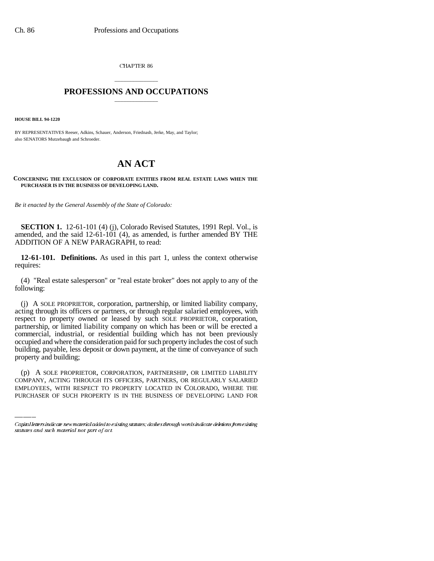CHAPTER 86

## \_\_\_\_\_\_\_\_\_\_\_\_\_\_\_ **PROFESSIONS AND OCCUPATIONS** \_\_\_\_\_\_\_\_\_\_\_\_\_\_\_

**HOUSE BILL 94-1220**

BY REPRESENTATIVES Reeser, Adkins, Schauer, Anderson, Friednash, Jerke, May, and Taylor; also SENATORS Mutzebaugh and Schroeder.

## **AN ACT**

## **CONCERNING THE EXCLUSION OF CORPORATE ENTITIES FROM REAL ESTATE LAWS WHEN THE PURCHASER IS IN THE BUSINESS OF DEVELOPING LAND.**

*Be it enacted by the General Assembly of the State of Colorado:*

**SECTION 1.** 12-61-101 (4) (j), Colorado Revised Statutes, 1991 Repl. Vol., is amended, and the said 12-61-101 (4), as amended, is further amended BY THE ADDITION OF A NEW PARAGRAPH, to read:

**12-61-101. Definitions.** As used in this part 1, unless the context otherwise requires:

(4) "Real estate salesperson" or "real estate broker" does not apply to any of the following:

 $\overline{1}$ (j) A SOLE PROPRIETOR, corporation, partnership, or limited liability company, acting through its officers or partners, or through regular salaried employees, with respect to property owned or leased by such SOLE PROPRIETOR, corporation, partnership, or limited liability company on which has been or will be erected a commercial, industrial, or residential building which has not been previously occupied and where the consideration paid for such property includes the cost of such building, payable, less deposit or down payment, at the time of conveyance of such property and building;

(p) A SOLE PROPRIETOR, CORPORATION, PARTNERSHIP, OR LIMITED LIABILITY COMPANY, ACTING THROUGH ITS OFFICERS, PARTNERS, OR REGULARLY SALARIED EMPLOYEES, WITH RESPECT TO PROPERTY LOCATED IN COLORADO, WHERE THE PURCHASER OF SUCH PROPERTY IS IN THE BUSINESS OF DEVELOPING LAND FOR

Capital letters indicate new material added to existing statutes; dashes through words indicate deletions from existing statutes and such material not part of act.